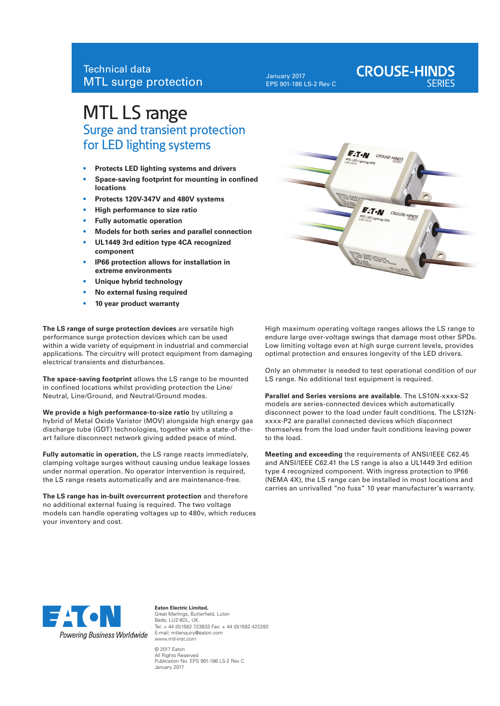January 2017 EPS 901-186 LS-2 Rev C

# **CROUSE-HINDS**

## MTL LS range Surge and transient protection for LED lighting systems

- **• Protects LED lighting systems and drivers**
- **• Space-saving footprint for mounting in confined locations**
- **Protects 120V-347V and 480V systems**
- **• High performance to size ratio**
- **• Fully automatic operation**
- **• Models for both series and parallel connection**
- **• UL1449 3rd edition type 4CA recognized component**
- **• IP66 protection allows for installation in extreme environments**
- **• Unique hybrid technology**
- **• No external fusing required**
- **• 10 year product warranty**

**The LS range of surge protection devices** are versatile high performance surge protection devices which can be used within a wide variety of equipment in industrial and commercial applications. The circuitry will protect equipment from damaging electrical transients and disturbances.

**The space-saving footprint** allows the LS range to be mounted in confined locations whilst providing protection the Line/ Neutral, Line/Ground, and Neutral/Ground modes.

**We provide a high performance-to-size ratio** by utilizing a hybrid of Metal Oxide Varistor (MOV) alongside high energy gas discharge tube (GDT) technologies, together with a state-of-theart failure disconnect network giving added peace of mind.

**Fully automatic in operation,** the LS range reacts immediately, clamping voltage surges without causing undue leakage losses under normal operation. No operator intervention is required, the LS range resets automatically and are maintenance-free.

**The LS range has in-built overcurrent protection** and therefore no additional external fusing is required. The two voltage models can handle operating voltages up to 480v, which reduces your inventory and cost.



High maximum operating voltage ranges allows the LS range to endure large over-voltage swings that damage most other SPDs. Low limiting voltage even at high surge current levels, provides optimal protection and ensures longevity of the LED drivers.

Only an ohmmeter is needed to test operational condition of our LS range. No additional test equipment is required.

**Parallel and Series versions are available.** The LS10N-xxxx-S2 models are series-connected devices which automatically disconnect power to the load under fault conditions. The LS12Nxxxx-P2 are parallel connected devices which disconnect themselves from the load under fault conditions leaving power to the load.

**Meeting and exceeding** the requirements of ANSI/IEEE C62.45 and ANSI/IEEE C62.41 the LS range is also a UL1449 3rd edition type 4 recognized component. With ingress protection to IP66 (NEMA 4X), the LS range can be installed in most locations and carries an unrivalled "no fuss" 10 year manufacturer's warranty.



**Eaton Electric Limited,** Great Marlings, Butterfield, Luton Beds, LU2 8DL, UK. Tel: + 44 (0)1582 723633 Fax: + 44 (0)1582 422283 E-mail: mtlenquiry@eaton.com www.mtl-inst.com © 2017 Eaton

All Rights Reserved Publication No. EPS 901-186 LS-2 Rev C January 2017